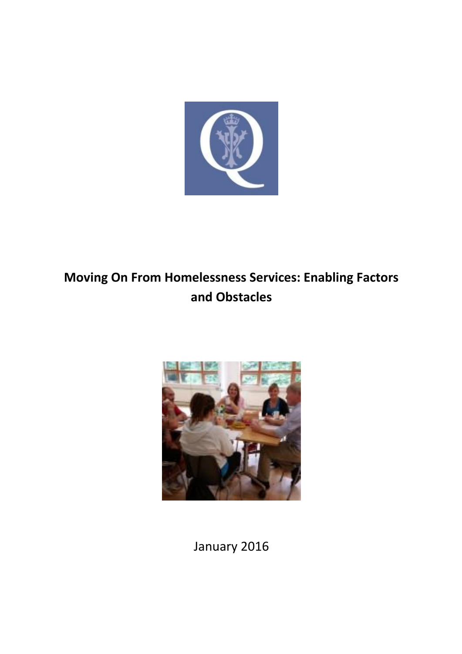

# **Moving On From Homelessness Services: Enabling Factors and Obstacles**



January 2016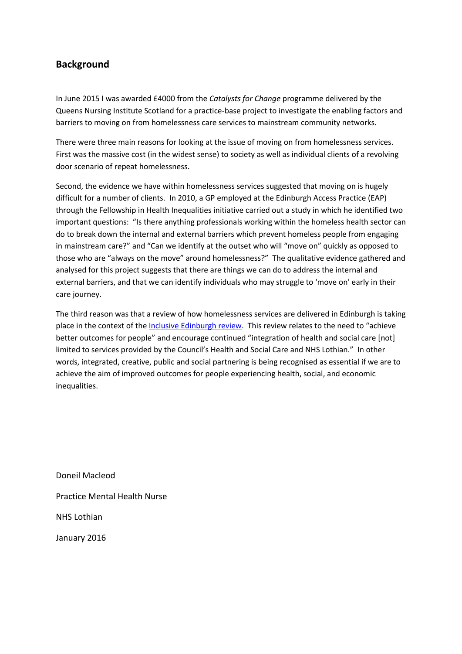# **Background**

In June 2015 I was awarded £4000 from the *Catalysts for Change* programme delivered by the Queens Nursing Institute Scotland for a practice-base project to investigate the enabling factors and barriers to moving on from homelessness care services to mainstream community networks.

There were three main reasons for looking at the issue of moving on from homelessness services. First was the massive cost (in the widest sense) to society as well as individual clients of a revolving door scenario of repeat homelessness.

Second, the evidence we have within homelessness services suggested that moving on is hugely difficult for a number of clients. In 2010, a GP employed at the Edinburgh Access Practice (EAP) through the Fellowship in Health Inequalities initiative carried out a study in which he identified two important questions: "Is there anything professionals working within the homeless health sector can do to break down the internal and external barriers which prevent homeless people from engaging in mainstream care?" and "Can we identify at the outset who will "move on" quickly as opposed to those who are "always on the move" around homelessness?" The qualitative evidence gathered and analysed for this project suggests that there are things we can do to address the internal and external barriers, and that we can identify individuals who may struggle to 'move on' early in their care journey.

The third reason was that a review of how homelessness services are delivered in Edinburgh is taking place in the context of the [Inclusive Edinburgh review](https://www.edinburgh.gov.uk/inclusiveedinburgh). This review relates to the need to "achieve better outcomes for people" and encourage continued "integration of health and social care [not] limited to services provided by the Council's Health and Social Care and NHS Lothian." In other words, integrated, creative, public and social partnering is being recognised as essential if we are to achieve the aim of improved outcomes for people experiencing health, social, and economic inequalities.

Doneil Macleod Practice Mental Health Nurse NHS Lothian January 2016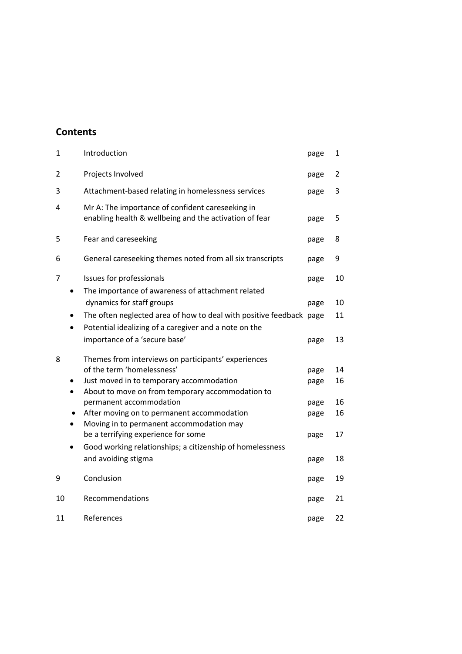# **Contents**

| $\mathbf{1}$ | Introduction                                                                                               | page | 1  |
|--------------|------------------------------------------------------------------------------------------------------------|------|----|
| 2            | Projects Involved                                                                                          | page | 2  |
| 3            | Attachment-based relating in homelessness services                                                         | page | 3  |
| 4            | Mr A: The importance of confident careseeking in<br>enabling health & wellbeing and the activation of fear | page | 5  |
| 5            | Fear and careseeking                                                                                       | page | 8  |
| 6            | General careseeking themes noted from all six transcripts                                                  | page | 9  |
| 7            | Issues for professionals<br>The importance of awareness of attachment related                              | page | 10 |
|              | dynamics for staff groups                                                                                  | page | 10 |
|              | The often neglected area of how to deal with positive feedback page                                        |      | 11 |
| $\bullet$    | Potential idealizing of a caregiver and a note on the                                                      |      |    |
|              | importance of a 'secure base'                                                                              | page | 13 |
| 8            | Themes from interviews on participants' experiences                                                        |      |    |
|              | of the term 'homelessness'                                                                                 | page | 14 |
|              | Just moved in to temporary accommodation                                                                   | page | 16 |
| $\bullet$    | About to move on from temporary accommodation to                                                           |      |    |
|              | permanent accommodation                                                                                    | page | 16 |
|              | After moving on to permanent accommodation                                                                 | page | 16 |
|              | Moving in to permanent accommodation may                                                                   |      |    |
|              | be a terrifying experience for some                                                                        | page | 17 |
| $\bullet$    | Good working relationships; a citizenship of homelessness                                                  |      |    |
|              | and avoiding stigma                                                                                        | page | 18 |
| 9            | Conclusion                                                                                                 | page | 19 |
| 10           | Recommendations                                                                                            | page | 21 |
| 11           | References                                                                                                 | page | 22 |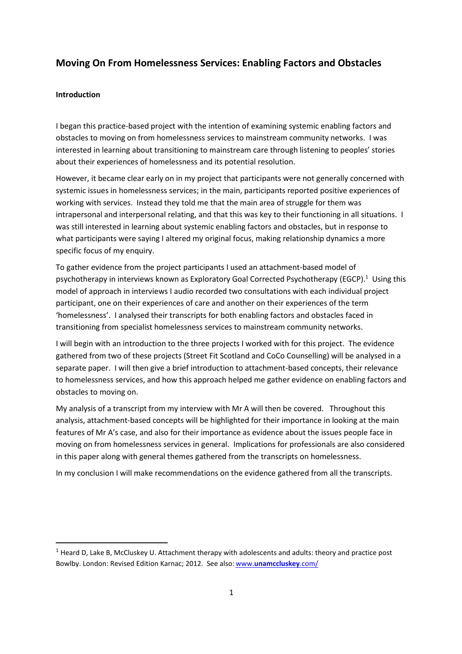# **Moving On From Homelessness Services: Enabling Factors and Obstacles**

### **Introduction**

**.** 

I began this practice-based project with the intention of examining systemic enabling factors and obstacles to moving on from homelessness services to mainstream community networks. I was interested in learning about transitioning to mainstream care through listening to peoples' stories about their experiences of homelessness and its potential resolution.

However, it became clear early on in my project that participants were not generally concerned with systemic issues in homelessness services; in the main, participants reported positive experiences of working with services. Instead they told me that the main area of struggle for them was intrapersonal and interpersonal relating, and that this was key to their functioning in all situations. I was still interested in learning about systemic enabling factors and obstacles, but in response to what participants were saying I altered my original focus, making relationship dynamics a more specific focus of my enquiry.

To gather evidence from the project participants I used an attachment-based model of psychotherapy in interviews known as Exploratory Goal Corrected Psychotherapy (EGCP).<sup>1</sup> Using this model of approach in interviews I audio recorded two consultations with each individual project participant, one on their experiences of care and another on their experiences of the term 'homelessness'. I analysed their transcripts for both enabling factors and obstacles faced in transitioning from specialist homelessness services to mainstream community networks.

I will begin with an introduction to the three projects I worked with for this project. The evidence gathered from two of these projects (Street Fit Scotland and CoCo Counselling) will be analysed in a separate paper. I will then give a brief introduction to attachment-based concepts, their relevance to homelessness services, and how this approach helped me gather evidence on enabling factors and obstacles to moving on.

My analysis of a transcript from my interview with Mr A will then be covered. Throughout this analysis, attachment-based concepts will be highlighted for their importance in looking at the main features of Mr A's case, and also for their importance as evidence about the issues people face in moving on from homelessness services in general. Implications for professionals are also considered in this paper along with general themes gathered from the transcripts on homelessness.

In my conclusion I will make recommendations on the evidence gathered from all the transcripts.

 $1$  Heard D, Lake B, McCluskey U. Attachment therapy with adolescents and adults: theory and practice post Bowlby. London: Revised Edition Karnac; 2012. See also: www.**[unamccluskey](http://www.unamccluskey.com/)**.com/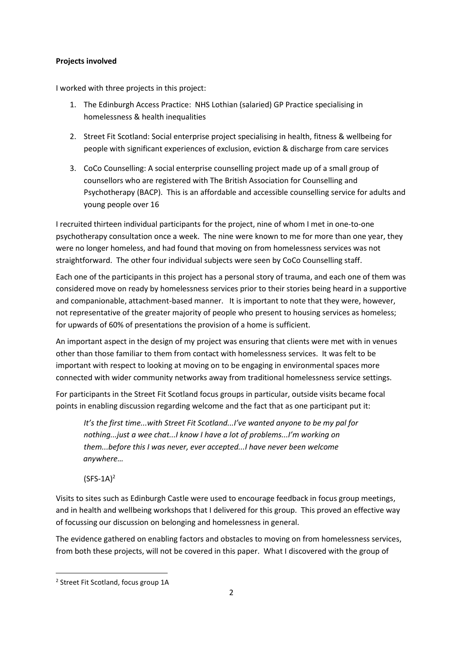# **Projects involved**

I worked with three projects in this project:

- 1. The Edinburgh Access Practice: NHS Lothian (salaried) GP Practice specialising in homelessness & health inequalities
- 2. Street Fit Scotland: Social enterprise project specialising in health, fitness & wellbeing for people with significant experiences of exclusion, eviction & discharge from care services
- 3. CoCo Counselling: A social enterprise counselling project made up of a small group of counsellors who are registered with The British Association for Counselling and Psychotherapy (BACP). This is an affordable and accessible counselling service for adults and young people over 16

I recruited thirteen individual participants for the project, nine of whom I met in one-to-one psychotherapy consultation once a week. The nine were known to me for more than one year, they were no longer homeless, and had found that moving on from homelessness services was not straightforward. The other four individual subjects were seen by CoCo Counselling staff.

Each one of the participants in this project has a personal story of trauma, and each one of them was considered move on ready by homelessness services prior to their stories being heard in a supportive and companionable, attachment-based manner. It is important to note that they were, however, not representative of the greater majority of people who present to housing services as homeless; for upwards of 60% of presentations the provision of a home is sufficient.

An important aspect in the design of my project was ensuring that clients were met with in venues other than those familiar to them from contact with homelessness services. It was felt to be important with respect to looking at moving on to be engaging in environmental spaces more connected with wider community networks away from traditional homelessness service settings.

For participants in the Street Fit Scotland focus groups in particular, outside visits became focal points in enabling discussion regarding welcome and the fact that as one participant put it:

*It's the first time...with Street Fit Scotland...I've wanted anyone to be my pal for nothing...just a wee chat...I know I have a lot of problems...I'm working on them...before this I was never, ever accepted...I have never been welcome anywhere…*

 $(SFS-1A)^2$ 

Visits to sites such as Edinburgh Castle were used to encourage feedback in focus group meetings, and in health and wellbeing workshops that I delivered for this group. This proved an effective way of focussing our discussion on belonging and homelessness in general.

The evidence gathered on enabling factors and obstacles to moving on from homelessness services, from both these projects, will not be covered in this paper. What I discovered with the group of

<sup>&</sup>lt;sup>2</sup> Street Fit Scotland, focus group 1A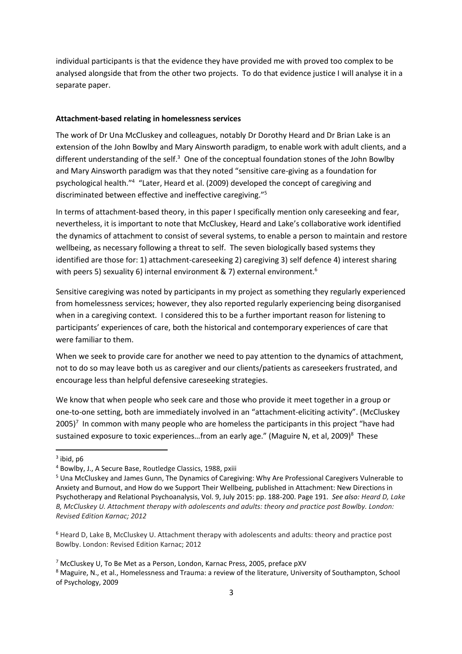individual participants is that the evidence they have provided me with proved too complex to be analysed alongside that from the other two projects. To do that evidence justice I will analyse it in a separate paper.

#### **Attachment-based relating in homelessness services**

The work of Dr Una McCluskey and colleagues, notably Dr Dorothy Heard and Dr Brian Lake is an extension of the John Bowlby and Mary Ainsworth paradigm, to enable work with adult clients, and a different understanding of the self.<sup>3</sup> One of the conceptual foundation stones of the John Bowlby and Mary Ainsworth paradigm was that they noted "sensitive care-giving as a foundation for psychological health."<sup>4</sup> "Later, Heard et al. (2009) developed the concept of caregiving and discriminated between effective and ineffective caregiving."<sup>5</sup>

In terms of attachment-based theory, in this paper I specifically mention only careseeking and fear, nevertheless, it is important to note that McCluskey, Heard and Lake's collaborative work identified the dynamics of attachment to consist of several systems, to enable a person to maintain and restore wellbeing, as necessary following a threat to self. The seven biologically based systems they identified are those for: 1) attachment-careseeking 2) caregiving 3) self defence 4) interest sharing with peers 5) sexuality 6) internal environment & 7) external environment.<sup>6</sup>

Sensitive caregiving was noted by participants in my project as something they regularly experienced from homelessness services; however, they also reported regularly experiencing being disorganised when in a caregiving context. I considered this to be a further important reason for listening to participants' experiences of care, both the historical and contemporary experiences of care that were familiar to them.

When we seek to provide care for another we need to pay attention to the dynamics of attachment, not to do so may leave both us as caregiver and our clients/patients as careseekers frustrated, and encourage less than helpful defensive careseeking strategies.

We know that when people who seek care and those who provide it meet together in a group or one-to-one setting, both are immediately involved in an "attachment-eliciting activity". (McCluskey  $2005$ <sup>7</sup> In common with many people who are homeless the participants in this project "have had sustained exposure to toxic experiences...from an early age." (Maguire N, et al, 2009)<sup>8</sup> These

<sup>&</sup>lt;sup>3</sup> ibid, p6

<sup>4</sup> Bowlby, J., A Secure Base, Routledge Classics, 1988, pxiii

<sup>5</sup> Una McCluskey and James Gunn, The Dynamics of Caregiving: Why Are Professional Caregivers Vulnerable to Anxiety and Burnout, and How do we Support Their Wellbeing, published in Attachment: New Directions in Psychotherapy and Relational Psychoanalysis, Vol. 9, July 2015: pp. 188-200. Page 191. *See also: Heard D, Lake B, McCluskey U. Attachment therapy with adolescents and adults: theory and practice post Bowlby. London: Revised Edition Karnac; 2012*

<sup>6</sup> Heard D, Lake B, McCluskey U. Attachment therapy with adolescents and adults: theory and practice post Bowlby. London: Revised Edition Karnac; 2012

<sup>7</sup> McCluskey U, To Be Met as a Person, London, Karnac Press, 2005, preface pXV

<sup>8</sup> Maguire, N., et al., Homelessness and Trauma: a review of the literature, University of Southampton, School of Psychology, 2009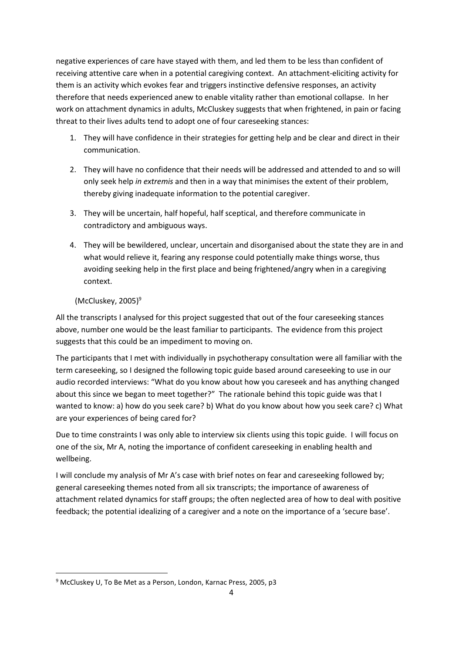negative experiences of care have stayed with them, and led them to be less than confident of receiving attentive care when in a potential caregiving context. An attachment-eliciting activity for them is an activity which evokes fear and triggers instinctive defensive responses, an activity therefore that needs experienced anew to enable vitality rather than emotional collapse. In her work on attachment dynamics in adults, McCluskey suggests that when frightened, in pain or facing threat to their lives adults tend to adopt one of four careseeking stances:

- 1. They will have confidence in their strategies for getting help and be clear and direct in their communication.
- 2. They will have no confidence that their needs will be addressed and attended to and so will only seek help *in extremis* and then in a way that minimises the extent of their problem, thereby giving inadequate information to the potential caregiver.
- 3. They will be uncertain, half hopeful, half sceptical, and therefore communicate in contradictory and ambiguous ways.
- 4. They will be bewildered, unclear, uncertain and disorganised about the state they are in and what would relieve it, fearing any response could potentially make things worse, thus avoiding seeking help in the first place and being frightened/angry when in a caregiving context.

# $(McCluskey, 2005)^9$

**.** 

All the transcripts I analysed for this project suggested that out of the four careseeking stances above, number one would be the least familiar to participants. The evidence from this project suggests that this could be an impediment to moving on.

The participants that I met with individually in psychotherapy consultation were all familiar with the term careseeking, so I designed the following topic guide based around careseeking to use in our audio recorded interviews: "What do you know about how you careseek and has anything changed about this since we began to meet together?" The rationale behind this topic guide was that I wanted to know: a) how do you seek care? b) What do you know about how you seek care? c) What are your experiences of being cared for?

Due to time constraints I was only able to interview six clients using this topic guide. I will focus on one of the six, Mr A, noting the importance of confident careseeking in enabling health and wellbeing.

I will conclude my analysis of Mr A's case with brief notes on fear and careseeking followed by; general careseeking themes noted from all six transcripts; the importance of awareness of attachment related dynamics for staff groups; the often neglected area of how to deal with positive feedback; the potential idealizing of a caregiver and a note on the importance of a 'secure base'.

<sup>&</sup>lt;sup>9</sup> McCluskey U, To Be Met as a Person, London, Karnac Press, 2005, p3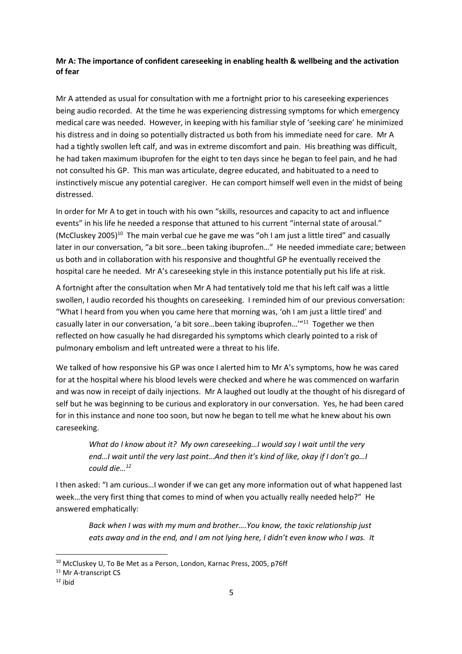# **Mr A: The importance of confident careseeking in enabling health & wellbeing and the activation of fear**

Mr A attended as usual for consultation with me a fortnight prior to his careseeking experiences being audio recorded. At the time he was experiencing distressing symptoms for which emergency medical care was needed. However, in keeping with his familiar style of 'seeking care' he minimized his distress and in doing so potentially distracted us both from his immediate need for care. Mr A had a tightly swollen left calf, and was in extreme discomfort and pain. His breathing was difficult, he had taken maximum ibuprofen for the eight to ten days since he began to feel pain, and he had not consulted his GP. This man was articulate, degree educated, and habituated to a need to instinctively miscue any potential caregiver. He can comport himself well even in the midst of being distressed.

In order for Mr A to get in touch with his own "skills, resources and capacity to act and influence events" in his life he needed a response that attuned to his current "internal state of arousal." (McCluskey 2005)<sup>10</sup> The main verbal cue he gave me was "oh I am just a little tired" and casually later in our conversation, "a bit sore…been taking ibuprofen…" He needed immediate care; between us both and in collaboration with his responsive and thoughtful GP he eventually received the hospital care he needed. Mr A's careseeking style in this instance potentially put his life at risk.

A fortnight after the consultation when Mr A had tentatively told me that his left calf was a little swollen, I audio recorded his thoughts on careseeking. I reminded him of our previous conversation: "What I heard from you when you came here that morning was, 'oh I am just a little tired' and casually later in our conversation, 'a bit sore...been taking ibuprofen..."<sup>11</sup> Together we then reflected on how casually he had disregarded his symptoms which clearly pointed to a risk of pulmonary embolism and left untreated were a threat to his life.

We talked of how responsive his GP was once I alerted him to Mr A's symptoms, how he was cared for at the hospital where his blood levels were checked and where he was commenced on warfarin and was now in receipt of daily injections. Mr A laughed out loudly at the thought of his disregard of self but he was beginning to be curious and exploratory in our conversation. Yes, he had been cared for in this instance and none too soon, but now he began to tell me what he knew about his own careseeking.

*What do I know about it? My own careseeking…I would say I wait until the very end…I wait until the very last point…And then it's kind of like, okay if I don't go…I could die…<sup>12</sup>* 

I then asked: "I am curious…I wonder if we can get any more information out of what happened last week…the very first thing that comes to mind of when you actually really needed help?" He answered emphatically:

*Back when I was with my mum and brother….You know, the toxic relationship just eats away and in the end, and I am not lying here, I didn't even know who I was. It*

<sup>&</sup>lt;sup>10</sup> McCluskey U, To Be Met as a Person, London, Karnac Press, 2005, p76ff

<sup>&</sup>lt;sup>11</sup> Mr A-transcript CS

 $12$  ibid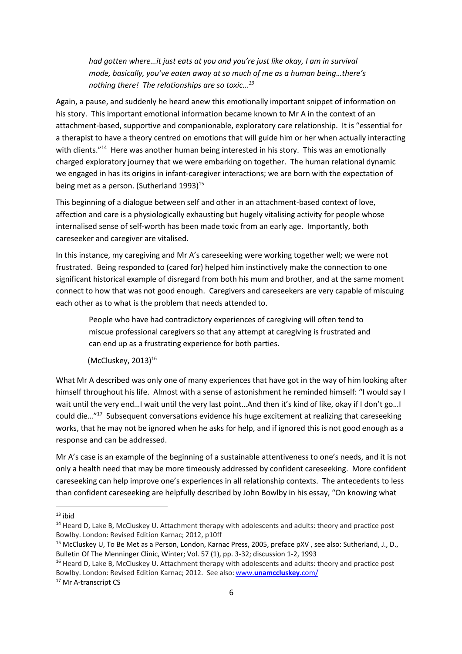*had gotten where…it just eats at you and you're just like okay, I am in survival mode, basically, you've eaten away at so much of me as a human being…there's nothing there! The relationships are so toxic…<sup>13</sup>*

Again, a pause, and suddenly he heard anew this emotionally important snippet of information on his story. This important emotional information became known to Mr A in the context of an attachment-based, supportive and companionable, exploratory care relationship. It is "essential for a therapist to have a theory centred on emotions that will guide him or her when actually interacting with clients."<sup>14</sup> Here was another human being interested in his story. This was an emotionally charged exploratory journey that we were embarking on together. The human relational dynamic we engaged in has its origins in infant-caregiver interactions; we are born with the expectation of being met as a person. (Sutherland 1993)<sup>15</sup>

This beginning of a dialogue between self and other in an attachment-based context of love, affection and care is a physiologically exhausting but hugely vitalising activity for people whose internalised sense of self-worth has been made toxic from an early age. Importantly, both careseeker and caregiver are vitalised.

In this instance, my caregiving and Mr A's careseeking were working together well; we were not frustrated. Being responded to (cared for) helped him instinctively make the connection to one significant historical example of disregard from both his mum and brother, and at the same moment connect to how that was not good enough. Caregivers and careseekers are very capable of miscuing each other as to what is the problem that needs attended to.

People who have had contradictory experiences of caregiving will often tend to miscue professional caregivers so that any attempt at caregiving is frustrated and can end up as a frustrating experience for both parties.

# $(McCluskey, 2013)^{16}$

What Mr A described was only one of many experiences that have got in the way of him looking after himself throughout his life. Almost with a sense of astonishment he reminded himself: "I would say I wait until the very end…I wait until the very last point…And then it's kind of like, okay if I don't go…I could die..."<sup>17</sup> Subsequent conversations evidence his huge excitement at realizing that careseeking works, that he may not be ignored when he asks for help, and if ignored this is not good enough as a response and can be addressed.

Mr A's case is an example of the beginning of a sustainable attentiveness to one's needs, and it is not only a health need that may be more timeously addressed by confident careseeking. More confident careseeking can help improve one's experiences in all relationship contexts. The antecedents to less than confident careseeking are helpfully described by John Bowlby in his essay, "On knowing what

 $13$  ihid

<sup>&</sup>lt;sup>14</sup> Heard D, Lake B, McCluskey U. Attachment therapy with adolescents and adults: theory and practice post Bowlby. London: Revised Edition Karnac; 2012, p10ff

<sup>&</sup>lt;sup>15</sup> McCluskey U, To Be Met as a Person, London, Karnac Press, 2005, preface pXV, see also: Sutherland, J., D., Bulletin Of The Menninger Clinic, Winter; Vol. 57 (1), pp. 3-32; discussion 1-2, 1993

<sup>&</sup>lt;sup>16</sup> Heard D, Lake B, McCluskey U. Attachment therapy with adolescents and adults: theory and practice post Bowlby. London: Revised Edition Karnac; 2012. See also: www.**[unamccluskey](http://www.unamccluskey.com/)**.com/

<sup>&</sup>lt;sup>17</sup> Mr A-transcript CS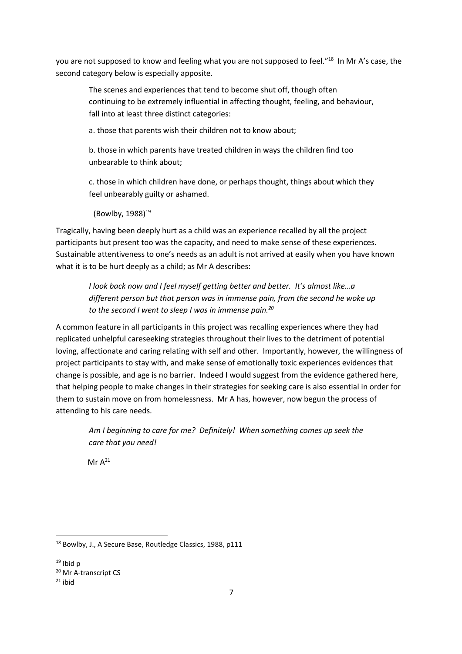you are not supposed to know and feeling what you are not supposed to feel."<sup>18</sup> In Mr A's case, the second category below is especially apposite.

The scenes and experiences that tend to become shut off, though often continuing to be extremely influential in affecting thought, feeling, and behaviour, fall into at least three distinct categories:

a. those that parents wish their children not to know about;

b. those in which parents have treated children in ways the children find too unbearable to think about;

c. those in which children have done, or perhaps thought, things about which they feel unbearably guilty or ashamed.

(Bowlby,  $1988$ )<sup>19</sup>

Tragically, having been deeply hurt as a child was an experience recalled by all the project participants but present too was the capacity, and need to make sense of these experiences. Sustainable attentiveness to one's needs as an adult is not arrived at easily when you have known what it is to be hurt deeply as a child; as Mr A describes:

*I look back now and I feel myself getting better and better. It's almost like…a different person but that person was in immense pain, from the second he woke up to the second I went to sleep I was in immense pain.<sup>20</sup>*

A common feature in all participants in this project was recalling experiences where they had replicated unhelpful careseeking strategies throughout their lives to the detriment of potential loving, affectionate and caring relating with self and other. Importantly, however, the willingness of project participants to stay with, and make sense of emotionally toxic experiences evidences that change is possible, and age is no barrier. Indeed I would suggest from the evidence gathered here, that helping people to make changes in their strategies for seeking care is also essential in order for them to sustain move on from homelessness. Mr A has, however, now begun the process of attending to his care needs.

*Am I beginning to care for me? Definitely! When something comes up seek the care that you need!*

 $Mr A<sup>21</sup>$ 

<sup>18</sup> Bowlby, J., A Secure Base, Routledge Classics, 1988, p111

 $19$  Ibid p

<sup>20</sup> Mr A-transcript CS

 $21$  ibid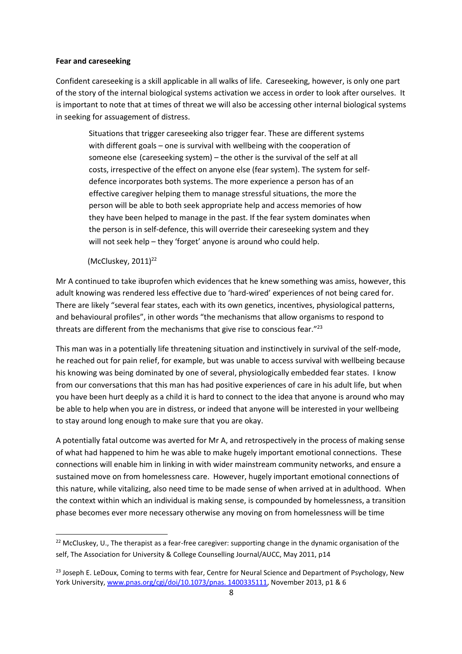#### **Fear and careseeking**

Confident careseeking is a skill applicable in all walks of life. Careseeking, however, is only one part of the story of the internal biological systems activation we access in order to look after ourselves. It is important to note that at times of threat we will also be accessing other internal biological systems in seeking for assuagement of distress.

Situations that trigger careseeking also trigger fear. These are different systems with different goals – one is survival with wellbeing with the cooperation of someone else (careseeking system) – the other is the survival of the self at all costs, irrespective of the effect on anyone else (fear system). The system for selfdefence incorporates both systems. The more experience a person has of an effective caregiver helping them to manage stressful situations, the more the person will be able to both seek appropriate help and access memories of how they have been helped to manage in the past. If the fear system dominates when the person is in self-defence, this will override their careseeking system and they will not seek help – they 'forget' anyone is around who could help.

(McCluskey,  $2011$ )<sup>22</sup>

 $\overline{\phantom{a}}$ 

Mr A continued to take ibuprofen which evidences that he knew something was amiss, however, this adult knowing was rendered less effective due to 'hard-wired' experiences of not being cared for. There are likely "several fear states, each with its own genetics, incentives, physiological patterns, and behavioural profiles", in other words "the mechanisms that allow organisms to respond to threats are different from the mechanisms that give rise to conscious fear." 23

This man was in a potentially life threatening situation and instinctively in survival of the self-mode, he reached out for pain relief, for example, but was unable to access survival with wellbeing because his knowing was being dominated by one of several, physiologically embedded fear states. I know from our conversations that this man has had positive experiences of care in his adult life, but when you have been hurt deeply as a child it is hard to connect to the idea that anyone is around who may be able to help when you are in distress, or indeed that anyone will be interested in your wellbeing to stay around long enough to make sure that you are okay.

A potentially fatal outcome was averted for Mr A, and retrospectively in the process of making sense of what had happened to him he was able to make hugely important emotional connections. These connections will enable him in linking in with wider mainstream community networks, and ensure a sustained move on from homelessness care. However, hugely important emotional connections of this nature, while vitalizing, also need time to be made sense of when arrived at in adulthood. When the context within which an individual is making sense, is compounded by homelessness, a transition phase becomes ever more necessary otherwise any moving on from homelessness will be time

 $22$  McCluskey, U., The therapist as a fear-free caregiver: supporting change in the dynamic organisation of the self, The Association for University & College Counselling Journal/AUCC, May 2011, p14

<sup>&</sup>lt;sup>23</sup> Joseph E. LeDoux, Coming to terms with fear, Centre for Neural Science and Department of Psychology, New York University, [www.pnas.org/cgi/doi/10.1073/pnas. 1400335111,](http://www.pnas.org/cgi/doi/10.1073/pnas.%201400335111) November 2013, p1 & 6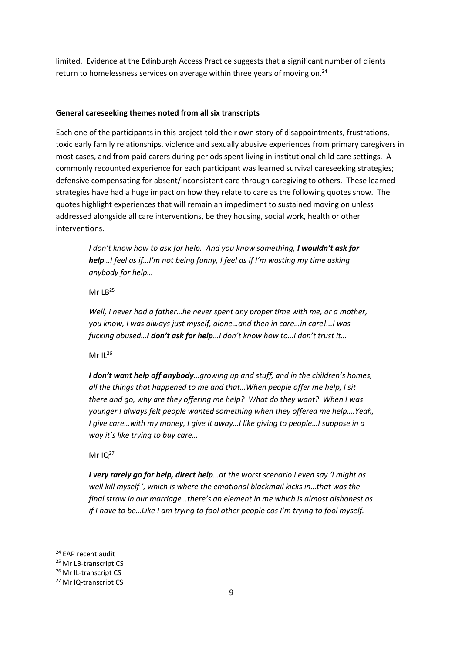limited. Evidence at the Edinburgh Access Practice suggests that a significant number of clients return to homelessness services on average within three years of moving on.<sup>24</sup>

#### **General careseeking themes noted from all six transcripts**

Each one of the participants in this project told their own story of disappointments, frustrations, toxic early family relationships, violence and sexually abusive experiences from primary caregivers in most cases, and from paid carers during periods spent living in institutional child care settings. A commonly recounted experience for each participant was learned survival careseeking strategies; defensive compensating for absent/inconsistent care through caregiving to others. These learned strategies have had a huge impact on how they relate to care as the following quotes show. The quotes highlight experiences that will remain an impediment to sustained moving on unless addressed alongside all care interventions, be they housing, social work, health or other interventions.

*I don't know how to ask for help. And you know something, I wouldn't ask for help…I feel as if…I'm not being funny, I feel as if I'm wasting my time asking anybody for help…*

Mr  $LB^{25}$ 

*Well, I never had a father…he never spent any proper time with me, or a mother, you know, I was always just myself, alone…and then in care…in care!...I was fucking abused…I don't ask for help…I don't know how to…I don't trust it…*

Mr II $^{26}$ 

*I don't want help off anybody…growing up and stuff, and in the children's homes, all the things that happened to me and that…When people offer me help, I sit there and go, why are they offering me help? What do they want? When I was younger I always felt people wanted something when they offered me help….Yeah, I give care…with my money, I give it away…I like giving to people…I suppose in a way it's like trying to buy care…*

Mr  $1Q^{27}$ 

*I very rarely go for help, direct help…at the worst scenario I even say 'I might as well kill myself ', which is where the emotional blackmail kicks in…that was the final straw in our marriage…there's an element in me which is almost dishonest as if I have to be…Like I am trying to fool other people cos I'm trying to fool myself.* 

<sup>&</sup>lt;sup>24</sup> EAP recent audit

<sup>&</sup>lt;sup>25</sup> Mr LB-transcript CS

<sup>26</sup> Mr IL-transcript CS

<sup>27</sup> Mr IQ-transcript CS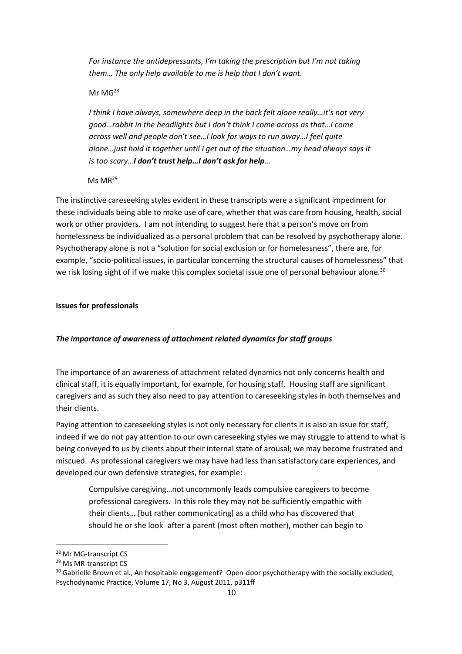*For instance the antidepressants, I'm taking the prescription but I'm not taking them… The only help available to me is help that I don't want.* 

#### Mr MG<sup>28</sup>

*I think I have always, somewhere deep in the back felt alone really…it's not very good…rabbit in the headlights but I don't think I come across as that…I come across well and people don't see…I look for ways to run away…I feel quite alone…just hold it together until I get out of the situation…my head always says it is too scary…I don't trust help…I don't ask for help…*

# $MS MR<sup>29</sup>$

The instinctive careseeking styles evident in these transcripts were a significant impediment for these individuals being able to make use of care, whether that was care from housing, health, social work or other providers. I am not intending to suggest here that a person's move on from homelessness be individualized as a personal problem that can be resolved by psychotherapy alone. Psychotherapy alone is not a "solution for social exclusion or for homelessness", there are, for example, "socio-political issues, in particular concerning the structural causes of homelessness" that we risk losing sight of if we make this complex societal issue one of personal behaviour alone.<sup>30</sup>

#### **Issues for professionals**

### *The importance of awareness of attachment related dynamics for staff groups*

The importance of an awareness of attachment related dynamics not only concerns health and clinical staff, it is equally important, for example, for housing staff. Housing staff are significant caregivers and as such they also need to pay attention to careseeking styles in both themselves and their clients.

Paying attention to careseeking styles is not only necessary for clients it is also an issue for staff, indeed if we do not pay attention to our own careseeking styles we may struggle to attend to what is being conveyed to us by clients about their internal state of arousal; we may become frustrated and miscued. As professional caregivers we may have had less than satisfactory care experiences, and developed our own defensive strategies, for example:

Compulsive caregiving…not uncommonly leads compulsive caregivers to become professional caregivers. In this role they may not be sufficiently empathic with their clients… [but rather communicating] as a child who has discovered that should he or she look after a parent (most often mother), mother can begin to

<sup>28</sup> Mr MG-transcript CS

<sup>29</sup> Ms MR-transcript CS

<sup>&</sup>lt;sup>30</sup> Gabrielle Brown et al., An hospitable engagement? Open-door psychotherapy with the socially excluded, Psychodynamic Practice, Volume 17, No 3, August 2011, p311ff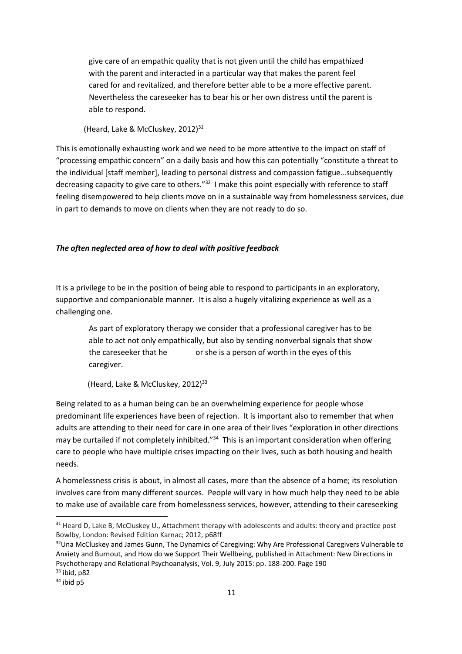give care of an empathic quality that is not given until the child has empathized with the parent and interacted in a particular way that makes the parent feel cared for and revitalized, and therefore better able to be a more effective parent. Nevertheless the careseeker has to bear his or her own distress until the parent is able to respond.

(Heard, Lake & McCluskey,  $2012$ )<sup>31</sup>

This is emotionally exhausting work and we need to be more attentive to the impact on staff of "processing empathic concern" on a daily basis and how this can potentially "constitute a threat to the individual [staff member], leading to personal distress and compassion fatigue…subsequently decreasing capacity to give care to others."<sup>32</sup> I make this point especially with reference to staff feeling disempowered to help clients move on in a sustainable way from homelessness services, due in part to demands to move on clients when they are not ready to do so.

#### *The often neglected area of how to deal with positive feedback*

It is a privilege to be in the position of being able to respond to participants in an exploratory, supportive and companionable manner. It is also a hugely vitalizing experience as well as a challenging one.

As part of exploratory therapy we consider that a professional caregiver has to be able to act not only empathically, but also by sending nonverbal signals that show the careseeker that he or she is a person of worth in the eyes of this caregiver.

(Heard, Lake & McCluskey, 2012)<sup>33</sup>

Being related to as a human being can be an overwhelming experience for people whose predominant life experiences have been of rejection. It is important also to remember that when adults are attending to their need for care in one area of their lives "exploration in other directions may be curtailed if not completely inhibited."<sup>34</sup> This is an important consideration when offering care to people who have multiple crises impacting on their lives, such as both housing and health needs.

A homelessness crisis is about, in almost all cases, more than the absence of a home; its resolution involves care from many different sources. People will vary in how much help they need to be able to make use of available care from homelessness services, however, attending to their careseeking

<sup>&</sup>lt;sup>31</sup> Heard D, Lake B, McCluskey U., Attachment therapy with adolescents and adults: theory and practice post Bowlby, London: Revised Edition Karnac; 2012, p68ff

<sup>&</sup>lt;sup>32</sup>Una McCluskey and James Gunn, The Dynamics of Caregiving: Why Are Professional Caregivers Vulnerable to Anxiety and Burnout, and How do we Support Their Wellbeing, published in Attachment: New Directions in Psychotherapy and Relational Psychoanalysis, Vol. 9, July 2015: pp. 188-200. Page 190  $33$  ibid, p82

 $34$  ibid p5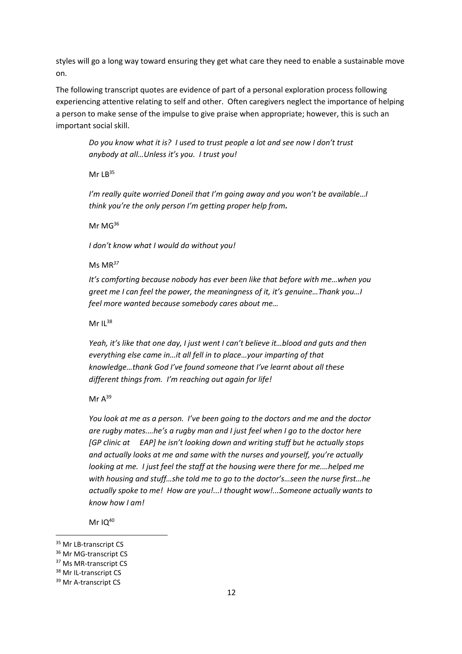styles will go a long way toward ensuring they get what care they need to enable a sustainable move on.

The following transcript quotes are evidence of part of a personal exploration process following experiencing attentive relating to self and other. Often caregivers neglect the importance of helping a person to make sense of the impulse to give praise when appropriate; however, this is such an important social skill.

*Do you know what it is? I used to trust people a lot and see now I don't trust anybody at all…Unless it's you. I trust you!*

Mr  $LB<sup>35</sup>$ 

*I'm really quite worried Doneil that I'm going away and you won't be available…I think you're the only person I'm getting proper help from.*

Mr MG<sup>36</sup>

*I don't know what I would do without you!*

Ms MR*<sup>37</sup>*

*It's comforting because nobody has ever been like that before with me…when you greet me I can feel the power, the meaningness of it, it's genuine…Thank you…I feel more wanted because somebody cares about me…*

Mr II $38$ 

*Yeah, it's like that one day, I just went I can't believe it…blood and guts and then everything else came in…it all fell in to place…your imparting of that knowledge…thank God I've found someone that I've learnt about all these different things from. I'm reaching out again for life!*

Mr  $A^{39}$ 

*You look at me as a person. I've been going to the doctors and me and the doctor are rugby mates.…he's a rugby man and I just feel when I go to the doctor here [GP clinic at EAP] he isn't looking down and writing stuff but he actually stops and actually looks at me and same with the nurses and yourself, you're actually looking at me. I just feel the staff at the housing were there for me.…helped me with housing and stuff…she told me to go to the doctor's…seen the nurse first…he actually spoke to me! How are you!...I thought wow!...Someone actually wants to know how I am!*

Mr  $IQ^{40}$ 

<sup>&</sup>lt;sup>35</sup> Mr LB-transcript CS

<sup>&</sup>lt;sup>36</sup> Mr MG-transcript CS

<sup>&</sup>lt;sup>37</sup> Ms MR-transcript CS

<sup>&</sup>lt;sup>38</sup> Mr IL-transcript CS

<sup>&</sup>lt;sup>39</sup> Mr A-transcript CS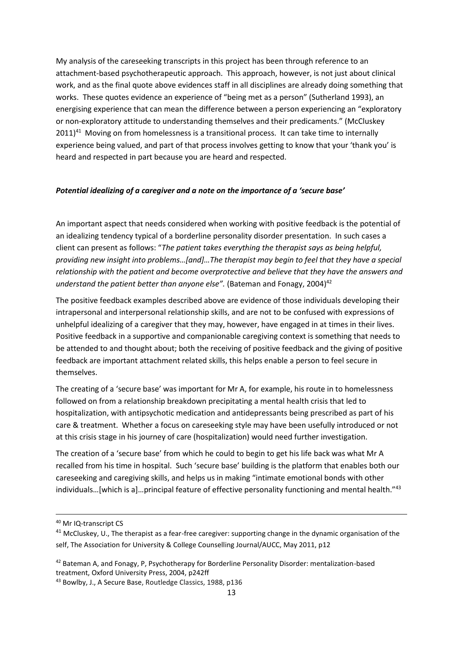My analysis of the careseeking transcripts in this project has been through reference to an attachment-based psychotherapeutic approach. This approach, however, is not just about clinical work, and as the final quote above evidences staff in all disciplines are already doing something that works. These quotes evidence an experience of "being met as a person" (Sutherland 1993), an energising experience that can mean the difference between a person experiencing an "exploratory or non-exploratory attitude to understanding themselves and their predicaments." (McCluskey  $2011)^{41}$  Moving on from homelessness is a transitional process. It can take time to internally experience being valued, and part of that process involves getting to know that your 'thank you' is heard and respected in part because you are heard and respected.

#### *Potential idealizing of a caregiver and a note on the importance of a 'secure base'*

An important aspect that needs considered when working with positive feedback is the potential of an idealizing tendency typical of a borderline personality disorder presentation. In such cases a client can present as follows: "*The patient takes everything the therapist says as being helpful, providing new insight into problems…[and]…The therapist may begin to feel that they have a special relationship with the patient and become overprotective and believe that they have the answers and understand the patient better than anyone else"*. (Bateman and Fonagy, 2004)<sup>42</sup>

The positive feedback examples described above are evidence of those individuals developing their intrapersonal and interpersonal relationship skills, and are not to be confused with expressions of unhelpful idealizing of a caregiver that they may, however, have engaged in at times in their lives. Positive feedback in a supportive and companionable caregiving context is something that needs to be attended to and thought about; both the receiving of positive feedback and the giving of positive feedback are important attachment related skills, this helps enable a person to feel secure in themselves.

The creating of a 'secure base' was important for Mr A, for example, his route in to homelessness followed on from a relationship breakdown precipitating a mental health crisis that led to hospitalization, with antipsychotic medication and antidepressants being prescribed as part of his care & treatment. Whether a focus on careseeking style may have been usefully introduced or not at this crisis stage in his journey of care (hospitalization) would need further investigation.

The creation of a 'secure base' from which he could to begin to get his life back was what Mr A recalled from his time in hospital. Such 'secure base' building is the platform that enables both our careseeking and caregiving skills, and helps us in making "intimate emotional bonds with other individuals…[which is a]…principal feature of effective personality functioning and mental health."<sup>43</sup>

<sup>40</sup> Mr IQ-transcript CS

<sup>&</sup>lt;sup>41</sup> McCluskey, U., The therapist as a fear-free caregiver: supporting change in the dynamic organisation of the self, The Association for University & College Counselling Journal/AUCC, May 2011, p12

<sup>&</sup>lt;sup>42</sup> Bateman A, and Fonagy, P, Psychotherapy for Borderline Personality Disorder: mentalization-based treatment, Oxford University Press, 2004, p242ff

<sup>43</sup> Bowlby, J., A Secure Base, Routledge Classics, 1988, p136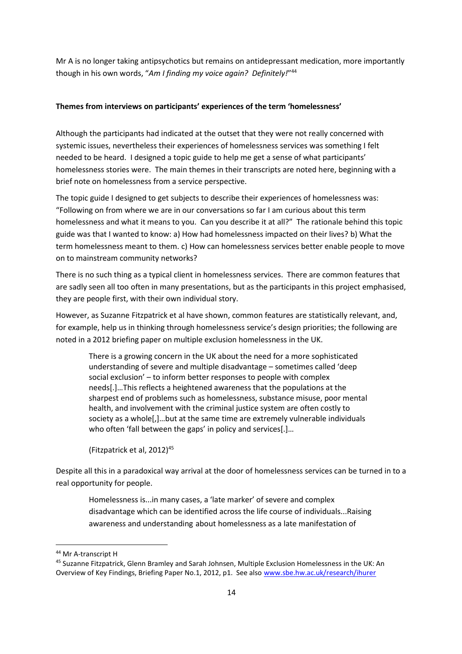Mr A is no longer taking antipsychotics but remains on antidepressant medication, more importantly though in his own words, "*Am I finding my voice again? Definitely!*" 44

#### **Themes from interviews on participants' experiences of the term 'homelessness'**

Although the participants had indicated at the outset that they were not really concerned with systemic issues, nevertheless their experiences of homelessness services was something I felt needed to be heard. I designed a topic guide to help me get a sense of what participants' homelessness stories were. The main themes in their transcripts are noted here, beginning with a brief note on homelessness from a service perspective.

The topic guide I designed to get subjects to describe their experiences of homelessness was: "Following on from where we are in our conversations so far I am curious about this term homelessness and what it means to you. Can you describe it at all?" The rationale behind this topic guide was that I wanted to know: a) How had homelessness impacted on their lives? b) What the term homelessness meant to them. c) How can homelessness services better enable people to move on to mainstream community networks?

There is no such thing as a typical client in homelessness services. There are common features that are sadly seen all too often in many presentations, but as the participants in this project emphasised, they are people first, with their own individual story.

However, as Suzanne Fitzpatrick et al have shown, common features are statistically relevant, and, for example, help us in thinking through homelessness service's design priorities; the following are noted in a 2012 briefing paper on multiple exclusion homelessness in the UK.

There is a growing concern in the UK about the need for a more sophisticated understanding of severe and multiple disadvantage – sometimes called 'deep social exclusion' – to inform better responses to people with complex needs[.]…This reflects a heightened awareness that the populations at the sharpest end of problems such as homelessness, substance misuse, poor mental health, and involvement with the criminal justice system are often costly to society as a whole[,]…but at the same time are extremely vulnerable individuals who often 'fall between the gaps' in policy and services[.]...

(Fitzpatrick et al, 2012)<sup>45</sup>

Despite all this in a paradoxical way arrival at the door of homelessness services can be turned in to a real opportunity for people.

Homelessness is...in many cases, a 'late marker' of severe and complex disadvantage which can be identified across the life course of individuals...Raising awareness and understanding about homelessness as a late manifestation of

<sup>&</sup>lt;sup>44</sup> Mr A-transcript H

<sup>45</sup> Suzanne Fitzpatrick, Glenn Bramley and Sarah Johnsen, Multiple Exclusion Homelessness in the UK: An Overview of Key Findings, Briefing Paper No.1, 2012, p1. See also [www.sbe.hw.ac.uk/research/ihurer](http://www.sbe.hw.ac.uk/research/ihurer)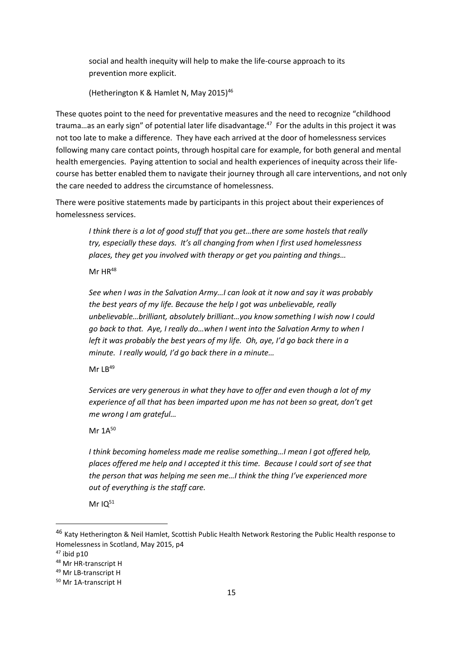social and health inequity will help to make the life-course approach to its prevention more explicit.

(Hetherington K & Hamlet N, May 2015)<sup>46</sup>

These quotes point to the need for preventative measures and the need to recognize "childhood trauma...as an early sign" of potential later life disadvantage.<sup>47</sup> For the adults in this project it was not too late to make a difference. They have each arrived at the door of homelessness services following many care contact points, through hospital care for example, for both general and mental health emergencies. Paying attention to social and health experiences of inequity across their lifecourse has better enabled them to navigate their journey through all care interventions, and not only the care needed to address the circumstance of homelessness.

There were positive statements made by participants in this project about their experiences of homelessness services.

*I think there is a lot of good stuff that you get…there are some hostels that really try, especially these days. It's all changing from when I first used homelessness places, they get you involved with therapy or get you painting and things…*

 $Mr$  HR<sup>48</sup>

*See when I was in the Salvation Army…I can look at it now and say it was probably the best years of my life. Because the help I got was unbelievable, really unbelievable…brilliant, absolutely brilliant…you know something I wish now I could go back to that. Aye, I really do…when I went into the Salvation Army to when I left it was probably the best years of my life. Oh, aye, I'd go back there in a minute. I really would, I'd go back there in a minute…*

Mr  $I$   $B^{49}$ 

*Services are very generous in what they have to offer and even though a lot of my experience of all that has been imparted upon me has not been so great, don't get me wrong I am grateful…*

Mr  $1A^{50}$ 

*I think becoming homeless made me realise something…I mean I got offered help, places offered me help and I accepted it this time. Because I could sort of see that the person that was helping me seen me…I think the thing I've experienced more out of everything is the staff care.*

Mr $IO<sup>51</sup>$ 

<sup>46</sup> Katy Hetherington & Neil Hamlet, Scottish Public Health Network Restoring the Public Health response to Homelessness in Scotland, May 2015, p4

 $47$  ibid p10

<sup>48</sup> Mr HR-transcript H

<sup>49</sup> Mr LB-transcript H

<sup>50</sup> Mr 1A-transcript H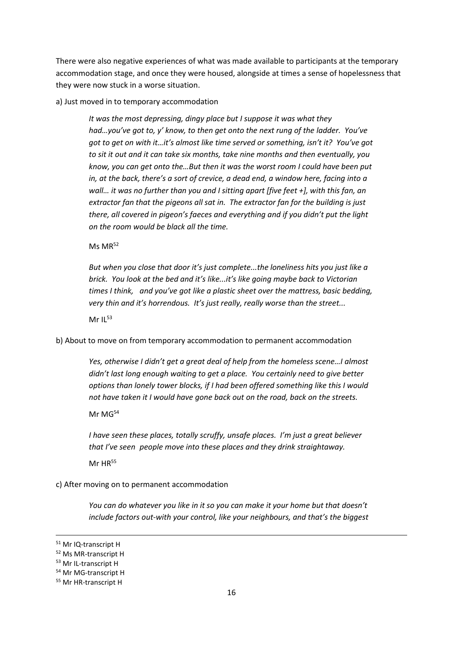There were also negative experiences of what was made available to participants at the temporary accommodation stage, and once they were housed, alongside at times a sense of hopelessness that they were now stuck in a worse situation.

#### a) Just moved in to temporary accommodation

*It was the most depressing, dingy place but I suppose it was what they had…you've got to, y' know, to then get onto the next rung of the ladder. You've got to get on with it…it's almost like time served or something, isn't it? You've got to sit it out and it can take six months, take nine months and then eventually, you know, you can get onto the…But then it was the worst room I could have been put in, at the back, there's a sort of crevice, a dead end, a window here, facing into a wall… it was no further than you and I sitting apart [five feet +], with this fan, an extractor fan that the pigeons all sat in. The extractor fan for the building is just there, all covered in pigeon's faeces and everything and if you didn't put the light on the room would be black all the time.*

Ms MR<sup>52</sup>

*But when you close that door it's just complete...the loneliness hits you just like a brick. You look at the bed and it's like...it's like going maybe back to Victorian times I think, and you've got like a plastic sheet over the mattress, basic bedding, very thin and it's horrendous. It's just really, really worse than the street...*

Mr  $IL^{53}$ 

b) About to move on from temporary accommodation to permanent accommodation

*Yes, otherwise I didn't get a great deal of help from the homeless scene…I almost didn't last long enough waiting to get a place. You certainly need to give better options than lonely tower blocks, if I had been offered something like this I would not have taken it I would have gone back out on the road, back on the streets.*

Mr MG<sup>54</sup>

*I have seen these places, totally scruffy, unsafe places. I'm just a great believer that I've seen people move into these places and they drink straightaway.*

 $Mr$  HR<sup>55</sup>

c) After moving on to permanent accommodation

*You can do whatever you like in it so you can make it your home but that doesn't include factors out-with your control, like your neighbours, and that's the biggest* 

<sup>51</sup> Mr IQ-transcript H

<sup>52</sup> Ms MR-transcript H

<sup>53</sup> Mr IL-transcript H

<sup>54</sup> Mr MG-transcript H

<sup>55</sup> Mr HR-transcript H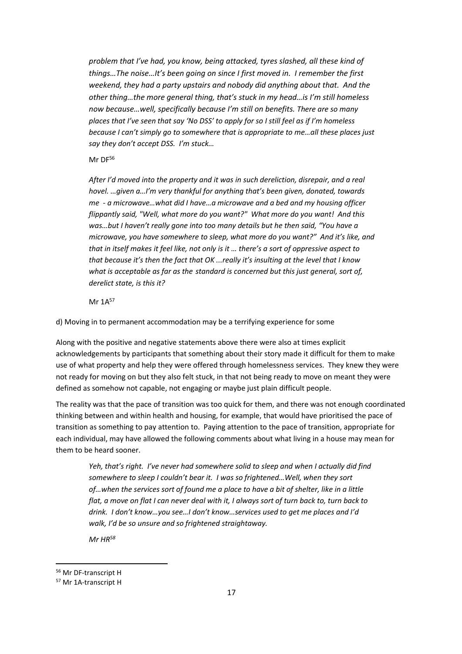*problem that I've had, you know, being attacked, tyres slashed, all these kind of things…The noise…It's been going on since I first moved in. I remember the first weekend, they had a party upstairs and nobody did anything about that. And the other thing…the more general thing, that's stuck in my head…is I'm still homeless now because…well, specifically because I'm still on benefits. There are so many places that I've seen that say 'No DSS' to apply for so I still feel as if I'm homeless because I can't simply go to somewhere that is appropriate to me…all these places just say they don't accept DSS. I'm stuck…*

Mr DF56

*After I'd moved into the property and it was in such dereliction, disrepair, and a real hovel. …given a…I'm very thankful for anything that's been given, donated, towards me - a microwave…what did I have…a microwave and a bed and my housing officer flippantly said, "Well, what more do you want?" What more do you want! And this was…but I haven't really gone into too many details but he then said, "You have a microwave, you have somewhere to sleep, what more do you want?" And it's like, and that in itself makes it feel like, not only is it … there's a sort of oppressive aspect to that because it's then the fact that OK ...really it's insulting at the level that I know what is acceptable as far as the standard is concerned but this just general, sort of, derelict state, is this it?*

Mr 1A<sup>57</sup>

d) Moving in to permanent accommodation may be a terrifying experience for some

Along with the positive and negative statements above there were also at times explicit acknowledgements by participants that something about their story made it difficult for them to make use of what property and help they were offered through homelessness services. They knew they were not ready for moving on but they also felt stuck, in that not being ready to move on meant they were defined as somehow not capable, not engaging or maybe just plain difficult people.

The reality was that the pace of transition was too quick for them, and there was not enough coordinated thinking between and within health and housing, for example, that would have prioritised the pace of transition as something to pay attention to. Paying attention to the pace of transition, appropriate for each individual, may have allowed the following comments about what living in a house may mean for them to be heard sooner.

*Yeh, that's right. I've never had somewhere solid to sleep and when I actually did find somewhere to sleep I couldn't bear it. I was so frightened…Well, when they sort of…when the services sort of found me a place to have a bit of shelter, like in a little flat, a move on flat I can never deal with it, I always sort of turn back to, turn back to drink. I don't know…you see…I don't know…services used to get me places and I'd walk, I'd be so unsure and so frightened straightaway.* 

*Mr HR<sup>58</sup>*

<sup>56</sup> Mr DF-transcript H

<sup>57</sup> Mr 1A-transcript H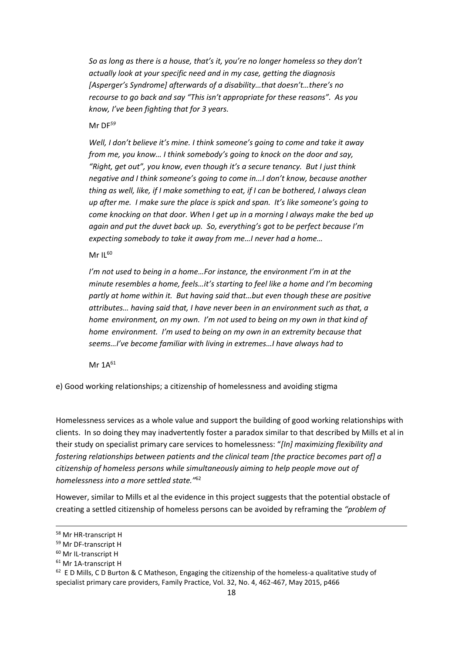*So as long as there is a house, that's it, you're no longer homeless so they don't actually look at your specific need and in my case, getting the diagnosis [Asperger's Syndrome] afterwards of a disability…that doesn't…there's no recourse to go back and say "This isn't appropriate for these reasons". As you know, I've been fighting that for 3 years.*

Mr DF*<sup>59</sup>*

*Well, I don't believe it's mine. I think someone's going to come and take it away from me, you know… I think somebody's going to knock on the door and say, "Right, get out", you know, even though it's a secure tenancy. But I just think negative and I think someone's going to come in...I don't know, because another thing as well, like, if I make something to eat, if I can be bothered, I always clean up after me. I make sure the place is spick and span. It's like someone's going to come knocking on that door. When I get up in a morning I always make the bed up again and put the duvet back up. So, everything's got to be perfect because I'm expecting somebody to take it away from me…I never had a home…*

Mr  $IL^{60}$ 

*I'm not used to being in a home…For instance, the environment I'm in at the minute resembles a home, feels…it's starting to feel like a home and I'm becoming partly at home within it. But having said that…but even though these are positive attributes… having said that, I have never been in an environment such as that, a home environment, on my own. I'm not used to being on my own in that kind of home environment. I'm used to being on my own in an extremity because that seems…I've become familiar with living in extremes…I have always had to*

Mr  $1A^{61}$ 

e) Good working relationships; a citizenship of homelessness and avoiding stigma

Homelessness services as a whole value and support the building of good working relationships with clients. In so doing they may inadvertently foster a paradox similar to that described by Mills et al in their study on specialist primary care services to homelessness: "*[In] maximizing flexibility and fostering relationships between patients and the clinical team [the practice becomes part of] a citizenship of homeless persons while simultaneously aiming to help people move out of homelessness into a more settled state."*<sup>62</sup>

However, similar to Mills et al the evidence in this project suggests that the potential obstacle of creating a settled citizenship of homeless persons can be avoided by reframing the *"problem of* 

<sup>58</sup> Mr HR-transcript H

<sup>59</sup> Mr DF-transcript H

<sup>60</sup> Mr IL-transcript H

<sup>&</sup>lt;sup>61</sup> Mr 1A-transcript H

 $62$  E D Mills, C D Burton & C Matheson, Engaging the citizenship of the homeless-a qualitative study of specialist primary care providers, Family Practice, Vol. 32, No. 4, 462-467, May 2015, p466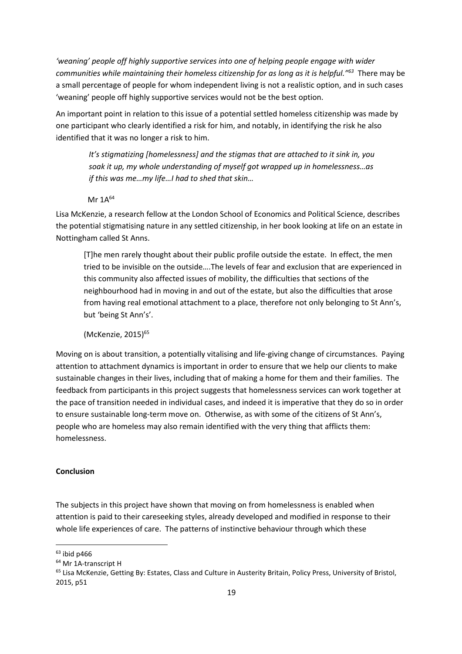*'weaning' people off highly supportive services into one of helping people engage with wider communities while maintaining their homeless citizenship for as long as it is helpful."<sup>63</sup>* There may be a small percentage of people for whom independent living is not a realistic option, and in such cases 'weaning' people off highly supportive services would not be the best option.

An important point in relation to this issue of a potential settled homeless citizenship was made by one participant who clearly identified a risk for him, and notably, in identifying the risk he also identified that it was no longer a risk to him.

*It's stigmatizing [homelessness] and the stigmas that are attached to it sink in, you soak it up, my whole understanding of myself got wrapped up in homelessness…as if this was me…my life…I had to shed that skin…*

## Mr  $1A^{64}$

Lisa McKenzie, a research fellow at the London School of Economics and Political Science, describes the potential stigmatising nature in any settled citizenship, in her book looking at life on an estate in Nottingham called St Anns.

[T]he men rarely thought about their public profile outside the estate. In effect, the men tried to be invisible on the outside….The levels of fear and exclusion that are experienced in this community also affected issues of mobility, the difficulties that sections of the neighbourhood had in moving in and out of the estate, but also the difficulties that arose from having real emotional attachment to a place, therefore not only belonging to St Ann's, but 'being St Ann's'.

(McKenzie, 2015)<sup>65</sup>

Moving on is about transition, a potentially vitalising and life-giving change of circumstances. Paying attention to attachment dynamics is important in order to ensure that we help our clients to make sustainable changes in their lives, including that of making a home for them and their families. The feedback from participants in this project suggests that homelessness services can work together at the pace of transition needed in individual cases, and indeed it is imperative that they do so in order to ensure sustainable long-term move on. Otherwise, as with some of the citizens of St Ann's, people who are homeless may also remain identified with the very thing that afflicts them: homelessness.

# **Conclusion**

The subjects in this project have shown that moving on from homelessness is enabled when attention is paid to their careseeking styles, already developed and modified in response to their whole life experiences of care. The patterns of instinctive behaviour through which these

 $63$  ibid p466

<sup>&</sup>lt;sup>64</sup> Mr 1A-transcript H

<sup>&</sup>lt;sup>65</sup> Lisa McKenzie, Getting By: Estates, Class and Culture in Austerity Britain, Policy Press, University of Bristol, 2015, p51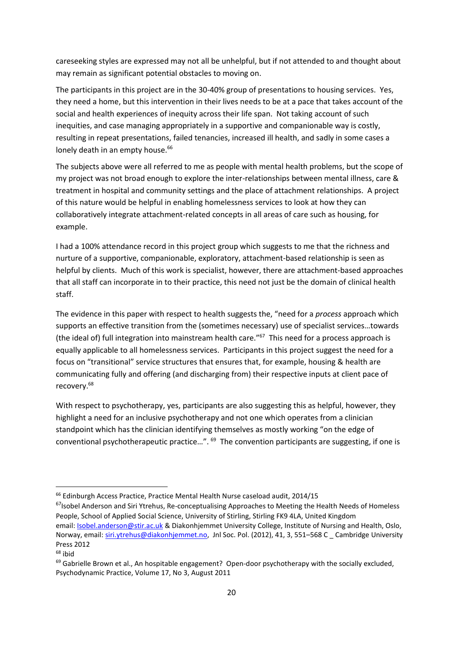careseeking styles are expressed may not all be unhelpful, but if not attended to and thought about may remain as significant potential obstacles to moving on.

The participants in this project are in the 30-40% group of presentations to housing services. Yes, they need a home, but this intervention in their lives needs to be at a pace that takes account of the social and health experiences of inequity across their life span. Not taking account of such inequities, and case managing appropriately in a supportive and companionable way is costly, resulting in repeat presentations, failed tenancies, increased ill health, and sadly in some cases a lonely death in an empty house.<sup>66</sup>

The subjects above were all referred to me as people with mental health problems, but the scope of my project was not broad enough to explore the inter-relationships between mental illness, care & treatment in hospital and community settings and the place of attachment relationships. A project of this nature would be helpful in enabling homelessness services to look at how they can collaboratively integrate attachment-related concepts in all areas of care such as housing, for example.

I had a 100% attendance record in this project group which suggests to me that the richness and nurture of a supportive, companionable, exploratory, attachment-based relationship is seen as helpful by clients. Much of this work is specialist, however, there are attachment-based approaches that all staff can incorporate in to their practice, this need not just be the domain of clinical health staff.

The evidence in this paper with respect to health suggests the, "need for a *process* approach which supports an effective transition from the (sometimes necessary) use of specialist services…towards (the ideal of) full integration into mainstream health care."<sup>67</sup> This need for a process approach is equally applicable to all homelessness services. Participants in this project suggest the need for a focus on "transitional" service structures that ensures that, for example, housing & health are communicating fully and offering (and discharging from) their respective inputs at client pace of recovery.<sup>68</sup>

With respect to psychotherapy, yes, participants are also suggesting this as helpful, however, they highlight a need for an inclusive psychotherapy and not one which operates from a clinician standpoint which has the clinician identifying themselves as mostly working "on the edge of conventional psychotherapeutic practice...". <sup>69</sup> The convention participants are suggesting, if one is

<sup>67</sup> Isobel Anderson and Siri Ytrehus, Re-conceptualising Approaches to Meeting the Health Needs of Homeless People, School of Applied Social Science, University of Stirling, Stirling FK9 4LA, United Kingdom email[: Isobel.anderson@stir.ac.uk](mailto:Isobel.anderson@stir.ac.uk) & Diakonhjemmet University College, Institute of Nursing and Health, Oslo, Norway, email[: siri.ytrehus@diakonhjemmet.no,](mailto:siri.ytrehus@diakonhjemmet.no) Jnl Soc. Pol. (2012), 41, 3, 551–568 C Cambridge University Press 2012

1

<sup>69</sup> Gabrielle Brown et al., An hospitable engagement? Open-door psychotherapy with the socially excluded, Psychodynamic Practice, Volume 17, No 3, August 2011

<sup>&</sup>lt;sup>66</sup> Edinburgh Access Practice, Practice Mental Health Nurse caseload audit, 2014/15

 $68$  ibid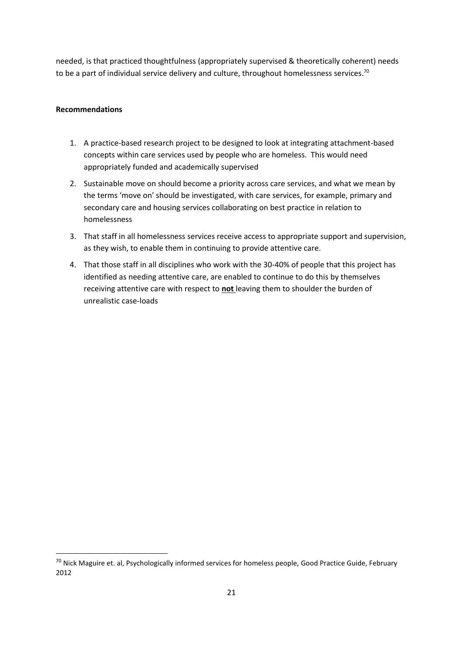needed, is that practiced thoughtfulness (appropriately supervised & theoretically coherent) needs to be a part of individual service delivery and culture, throughout homelessness services.<sup>70</sup>

### **Recommendations**

 $\overline{\phantom{a}}$ 

- 1. A practice-based research project to be designed to look at integrating attachment-based concepts within care services used by people who are homeless. This would need appropriately funded and academically supervised
- 2. Sustainable move on should become a priority across care services, and what we mean by the terms 'move on' should be investigated, with care services, for example, primary and secondary care and housing services collaborating on best practice in relation to homelessness
- 3. That staff in all homelessness services receive access to appropriate support and supervision, as they wish, to enable them in continuing to provide attentive care.
- 4. That those staff in all disciplines who work with the 30-40% of people that this project has identified as needing attentive care, are enabled to continue to do this by themselves receiving attentive care with respect to **not** leaving them to shoulder the burden of unrealistic case-loads

<sup>&</sup>lt;sup>70</sup> Nick Maguire et. al, Psychologically informed services for homeless people, Good Practice Guide, February 2012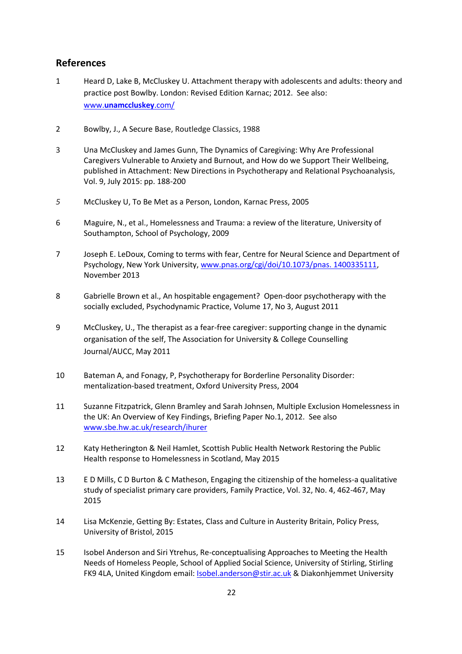# **References**

- 1 Heard D, Lake B, McCluskey U. Attachment therapy with adolescents and adults: theory and practice post Bowlby. London: Revised Edition Karnac; 2012. See also: www.**[unamccluskey](http://www.unamccluskey.com/)**.com/
- 2 Bowlby, J., A Secure Base, Routledge Classics, 1988
- 3 Una McCluskey and James Gunn, The Dynamics of Caregiving: Why Are Professional Caregivers Vulnerable to Anxiety and Burnout, and How do we Support Their Wellbeing, published in Attachment: New Directions in Psychotherapy and Relational Psychoanalysis, Vol. 9, July 2015: pp. 188-200
- *5* McCluskey U, To Be Met as a Person, London, Karnac Press, 2005
- 6 Maguire, N., et al., Homelessness and Trauma: a review of the literature, University of Southampton, School of Psychology, 2009
- 7 Joseph E. LeDoux, Coming to terms with fear, Centre for Neural Science and Department of Psychology, New York University[, www.pnas.org/cgi/doi/10.1073/pnas. 1400335111,](http://www.pnas.org/cgi/doi/10.1073/pnas.%201400335111) November 2013
- 8 Gabrielle Brown et al., An hospitable engagement? Open-door psychotherapy with the socially excluded, Psychodynamic Practice, Volume 17, No 3, August 2011
- 9 McCluskey, U., The therapist as a fear-free caregiver: supporting change in the dynamic organisation of the self, The Association for University & College Counselling Journal/AUCC, May 2011
- 10 Bateman A, and Fonagy, P, Psychotherapy for Borderline Personality Disorder: mentalization-based treatment, Oxford University Press, 2004
- 11 Suzanne Fitzpatrick, Glenn Bramley and Sarah Johnsen, Multiple Exclusion Homelessness in the UK: An Overview of Key Findings, Briefing Paper No.1, 2012. See also [www.sbe.hw.ac.uk/research/ihurer](http://www.sbe.hw.ac.uk/research/ihurer)
- 12 Katy Hetherington & Neil Hamlet, Scottish Public Health Network Restoring the Public Health response to Homelessness in Scotland, May 2015
- 13 E D Mills, C D Burton & C Matheson, Engaging the citizenship of the homeless-a qualitative study of specialist primary care providers, Family Practice, Vol. 32, No. 4, 462-467, May 2015
- 14 Lisa McKenzie, Getting By: Estates, Class and Culture in Austerity Britain, Policy Press, University of Bristol, 2015
- 15 Isobel Anderson and Siri Ytrehus, Re-conceptualising Approaches to Meeting the Health Needs of Homeless People, School of Applied Social Science, University of Stirling, Stirling FK9 4LA, United Kingdom email[: Isobel.anderson@stir.ac.uk](mailto:Isobel.anderson@stir.ac.uk) & Diakonhjemmet University